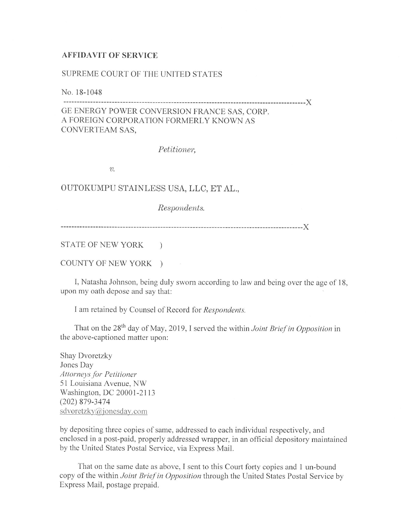## **AFFIDAVIT OF SERVICE**

## SUPREME COURT OF THE UNITED STATES

No. 18-1048

------------------------------------------------------------------------------------------)( GE ENERGY POWER CONVERSION FRANCE SAS, CORP. A FOREIGN CORPORATION FORMERLY KNOWN AS CONVERTEAM SAS,

*Petitioner,* 

*v.* 

OUTOKUMPU STAINLESS USA, LLC, ET AL.,

*Respondents.* 

------------------------------------------------------------------------------------------)(

STATE OF NEW YORK )

COUNTY Or NEW YORK )

I, Natasha Johnson, being duly sworn according to law and being over the age of 18, upon my oath depose and say that:

I am retained by Counsel of Record for *Respondents.* 

That on the 28<sup>th</sup> day of May, 2019, I served the within *Joint Brief in Opposition* in the above-captioned matter upon:

Shay Dvoretzky Jones Day *Allomeysfor Petitioner*  51 Louisiana A venue, NW Washington, DC 20001-2113 (202) 879-3474 sdvoretzkv@jonesday.com

by depositing three copies of same, addressed to each individual respectively, and enclosed in a post-paid, properly addressed wrapper, in an official depository maintained by the United States Postal Service, via Express Mail.

That on the same date as above, I sent to this Court forty copies and 1 un-bound copy of the within *Joint Brief in Opposition* through the United States Postal Service by Express Mail, postage prepaid.